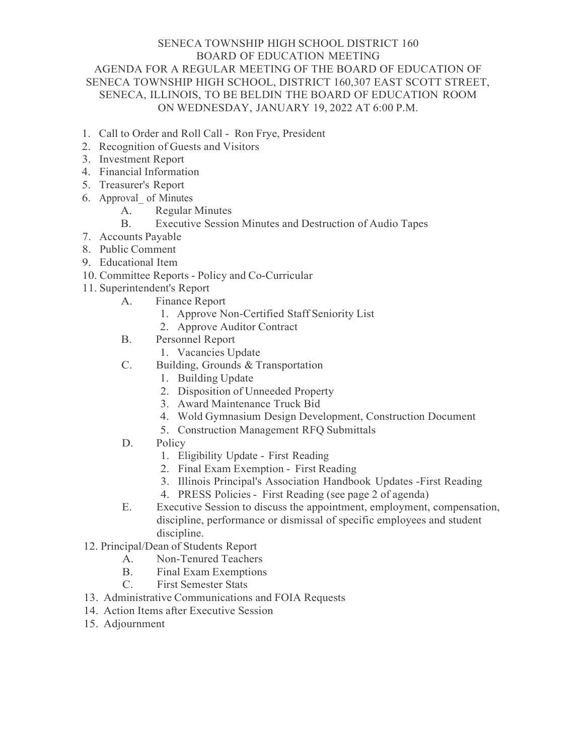## SENECA TOWNSHIP HIGH SCHOOL DISTRICT 160 BOARD OF EDUCATION MEETING AGENDA FOR A REGULAR MEETING OF THE BOARD OF EDUCATION OF SENECA TOWNSHIP HIGH SCHOOL, DISTRICT 160,307 EAST SCOTT STREET, SENECA, ILLINOIS, TO BE BELDIN THE BOARD OF EDUCATION ROOM ON WEDNESDAY, JANUARY 19, 2022 AT 6:00 P.M.

- 1. Call to Order and Roll Call Ron Frye, President
- 2. Recognition of Guests and Visitors
- 3. Investment Report
- 4. Financial Information
- 5. Treasurer's Report
- 6. Approval\_ of Minutes
	- A. Regular Minutes
	- B. Executive Session Minutes and Destruction of Audio Tapes
- 7. Accounts Payable
- 8. Public Comment
- 9. Educational Item
- 10. Committee Reports Policy and Co-Curricular
- 11. Superintendent's Report
	- A. Finance Report
		- 1. Approve Non-Certified Staff Seniority List
		- 2. Approve Auditor Contract
	- B. Personnel Report
		- 1. Vacancies Update
	- C. Building, Grounds & Transportation
		- 1. Building Update
		- 2. Disposition of Unneeded Property
		- 3. Award Maintenance Truck Bid
		- 4. Wold Gymnasium Design Development, Construction Document
		- 5. Construction Management RFQ Submittals
	- D. Policy
		- 1. Eligibility Update First Reading
		- 2. Final Exam Exemption First Reading
		- 3. Illinois Principal's Association Handbook Updates -First Reading
		- 4. PRESS Policies First Reading (see page 2 of agenda)
	- E. Executive Session to discuss the appointment, employment, compensation, discipline, performance or dismissal of specific employees and student discipline.
- 12. Principal/Dean of Students Report
	- A. Non-Tenured Teachers
	- B. Final Exam Exemptions
	- C. First Semester Stats
- 13. Administrative Communications and FOIA Requests
- 14. Action Items after Executive Session
- 15. Adjournment